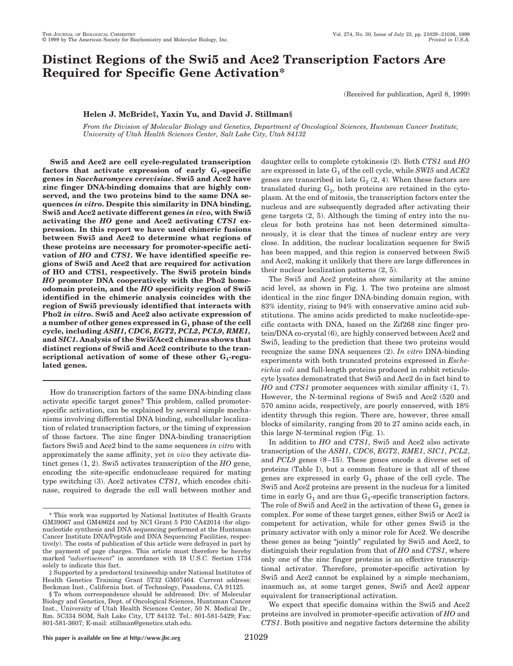# **Distinct Regions of the Swi5 and Ace2 Transcription Factors Are Required for Specific Gene Activation\***

(Received for publication, April 8, 1999)

## **Helen J. McBride‡, Yaxin Yu, and David J. Stillman§**

*From the Division of Molecular Biology and Genetics, Department of Oncological Sciences, Huntsman Cancer Institute, University of Utah Health Sciences Center, Salt Lake City, Utah 84132*

**Swi5 and Ace2 are cell cycle-regulated transcription** factors that activate expression of early  $G_1$ -specific **genes in** *Saccharomyces cerevisiae***. Swi5 and Ace2 have zinc finger DNA-binding domains that are highly conserved, and the two proteins bind to the same DNA sequences** *in vitro***. Despite this similarity in DNA binding, Swi5 and Ace2 activate different genes** *in vivo***, with Swi5 activating the** *HO* **gene and Ace2 activating** *CTS1* **expression. In this report we have used chimeric fusions between Swi5 and Ace2 to determine what regions of these proteins are necessary for promoter-specific activation of** *HO* **and** *CTS1***. We have identified specific regions of Swi5 and Ace2 that are required for activation of HO and CTS1, respectively. The Swi5 protein binds** *HO* **promoter DNA cooperatively with the Pho2 homeodomain protein, and the** *HO* **specificity region of Swi5 identified in the chimeric analysis coincides with the region of Swi5 previously identified that interacts with Pho2** *in vitro***. Swi5 and Ace2 also activate expression of a number of other genes expressed in G1 phase of the cell cycle, including** *ASH1***,** *CDC6***,** *EGT2***,** *PCL2***,** *PCL9***,** *RME1***, and** *SIC1***. Analysis of the Swi5/Ace2 chimeras shows that distinct regions of Swi5 and Ace2 contribute to the tran**scriptional activation of some of these other G<sub>1</sub>-regu**lated genes.**

How do transcription factors of the same DNA-binding class activate specific target genes? This problem, called promoterspecific activation, can be explained by several simple mechanisms involving differential DNA binding, subcellular localization of related transcription factors, or the timing of expression of those factors. The zinc finger DNA-binding transcription factors Swi5 and Ace2 bind to the same sequences *in vitro* with approximately the same affinity, yet *in vivo* they activate distinct genes (1, 2). Swi5 activates transcription of the *HO* gene, encoding the site-specific endonuclease required for mating type switching (3). Ace2 activates *CTS1*, which encodes chitinase, required to degrade the cell wall between mother and daughter cells to complete cytokinesis (2). Both *CTS1* and *HO* are expressed in late G1 of the cell cycle, while *SWI5* and *ACE2* genes are transcribed in late  $G_2$  (2, 4). When these factors are translated during  $G_2$ , both proteins are retained in the cytoplasm. At the end of mitosis, the transcription factors enter the nucleus and are subsequently degraded after activating their gene targets (2, 5). Although the timing of entry into the nucleus for both proteins has not been determined simultaneously, it is clear that the times of nuclear entry are very close. In addition, the nuclear localization sequence for Swi5 has been mapped, and this region is conserved between Swi5 and Ace2, making it unlikely that there are large differences in their nuclear localization patterns (2, 5).

The Swi5 and Ace2 proteins show similarity at the amino acid level, as shown in Fig. 1. The two proteins are almost identical in the zinc finger DNA-binding domain region, with 83% identity, rising to 94% with conservative amino acid substitutions. The amino acids predicted to make nucleotide-specific contacts with DNA, based on the Zif268 zinc finger protein/DNA co-crystal (6), are highly conserved between Ace2 and Swi5, leading to the prediction that these two proteins would recognize the same DNA sequences (2). *In vitro* DNA-binding experiments with both truncated proteins expressed in *Escherichia coli* and full-length proteins produced in rabbit reticulocyte lysates demonstrated that Swi5 and Ace2 do in fact bind to *HO* and *CTS1* promoter sequences with similar affinity (1, 7). However, the N-terminal regions of Swi5 and Ace2 (520 and 570 amino acids, respectively, are poorly conserved, with 18% identity through this region. There are, however, three small blocks of similarity, ranging from 20 to 27 amino acids each, in this large N-terminal region (Fig. 1).

In addition to *HO* and *CTS1*, Swi5 and Ace2 also activate transcription of the *ASH1*, *CDC6*, *EGT2*, *RME1*, *SIC1*, *PCL2*, and *PCL9* genes (8–15). These genes encode a diverse set of proteins (Table I), but a common feature is that all of these genes are expressed in early  $G_1$  phase of the cell cycle. The Swi5 and Ace2 proteins are present in the nucleus for a limited time in early  $G_1$  and are thus  $G_1$ -specific transcription factors. The role of Swi5 and Ace2 in the activation of these  $G_1$  genes is complex. For some of these target genes, either Swi5 or Ace2 is competent for activation, while for other genes Swi5 is the primary activator with only a minor role for Ace2. We describe these genes as being "jointly" regulated by Swi5 and Ace2, to distinguish their regulation from that of *HO* and *CTS1*, where only one of the zinc finger proteins is an effective transcriptional activator. Therefore, promoter-specific activation by Swi5 and Ace2 cannot be explained by a simple mechanism, inasmuch as, at some target genes, Swi5 and Ace2 appear equivalent for transcriptional activation.

We expect that specific domains within the Swi5 and Ace2 proteins are involved in promoter-specific activation of *HO* and *CTS1*. Both positive and negative factors determine the ability

<sup>\*</sup> This work was supported by National Institutes of Health Grants GM39067 and GM48624 and by NCI Grant 5 P30 CA42014 (for oligonucleotide synthesis and DNA sequencing performed at the Huntsman Cancer Institute DNA/Peptide and DNA Sequencing Facilities, respectively). The costs of publication of this article were defrayed in part by the payment of page charges. This article must therefore be hereby marked "*advertisement*" in accordance with 18 U.S.C. Section 1734 solely to indicate this fact.

<sup>‡</sup> Supported by a predoctoral traineeship under National Institutes of Health Genetics Training Grant 5T32 GM07464. Current address: Beckman Inst., California Inst. of Technology, Pasadena, CA 91125.

<sup>§</sup> To whom correspondence should be addressed: Div. of Molecular Biology and Genetics, Dept. of Oncological Sciences, Huntsman Cancer Inst., University of Utah Health Sciences Center, 50 N. Medical Dr., Rm. 5C334 SOM, Salt Lake City, UT 84132. Tel.: 801-581-5429; Fax: 801-581-3607; E-mail: stillman@genetics.utah.edu.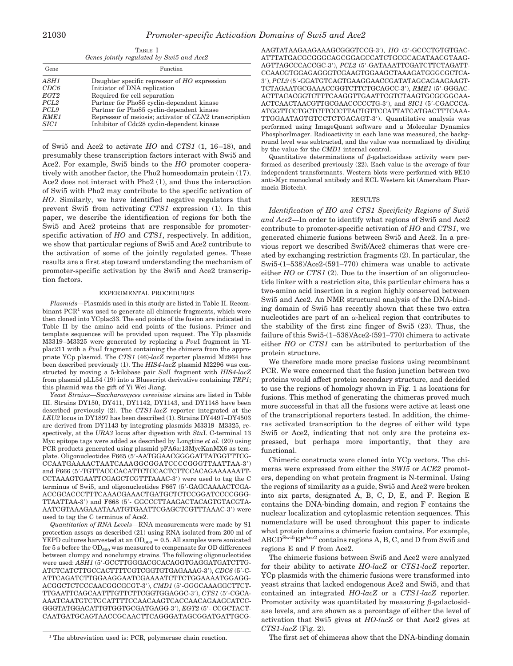TABLE I *Genes jointly regulated by Swi5 and Ace2*

| Gene             | Function                                              |
|------------------|-------------------------------------------------------|
| ASH1             | Daughter specific repressor of HO expression          |
| CDC6             | Initiator of DNA replication                          |
| EGT2             | Required for cell separation                          |
| PCL <sub>2</sub> | Partner for Pho85 cyclin-dependent kinase             |
| PCL <sub>9</sub> | Partner for Pho85 cyclin-dependent kinase             |
| RME1             | Repressor of meiosis; activator of CLN2 transcription |
| <i>SIC1</i>      | Inhibitor of Cdc28 cyclin-dependent kinase            |

of Swi5 and Ace2 to activate *HO* and *CTS1* (1, 16–18), and presumably these transcription factors interact with Swi5 and Ace2. For example, Swi5 binds to the *HO* promoter cooperatively with another factor, the Pho2 homeodomain protein (17). Ace2 does not interact with Pho2 (1), and thus the interaction of Swi5 with Pho2 may contribute to the specific activation of *HO*. Similarly, we have identified negative regulators that prevent Swi5 from activating *CTS1* expression (1). In this paper, we describe the identification of regions for both the Swi5 and Ace2 proteins that are responsible for promoterspecific activation of *HO* and *CTS1*, respectively. In addition, we show that particular regions of Swi5 and Ace2 contribute to the activation of some of the jointly regulated genes. These results are a first step toward understanding the mechanism of promoter-specific activation by the Swi5 and Ace2 transcription factors.

#### EXPERIMENTAL PROCEDURES

*Plasmids—*Plasmids used in this study are listed in Table II. Recombinant  $PCR<sup>1</sup>$  was used to generate all chimeric fragments, which were then cloned into YCplac33. The end points of the fusion are indicated in Table II by the amino acid end points of the fusions. Primer and template sequences will be provided upon request. The YIp plasmids M3319–M3325 were generated by replacing a *Pvu*I fragment in YIplac211 with a *Pvu*I fragment containing the chimera from the appropriate YCp plasmid. The *CTS1* (46)-*lacZ* reporter plasmid M2864 has been described previously (1). The *HIS4*-*lacZ* plasmid M2296 was constructed by moving a 5-kilobase pair *Sal*I fragment with *HIS4*-*lacZ* from plasmid pLL54 (19) into a Bluescript derivative containing *TRP1*; this plasmid was the gift of Yi Wei Jiang.

*Yeast Strains—Saccharomyces cerevisiae* strains are listed in Table III. Strains DY150, DY411, DY1142, DY1143, and DY1148 have been described previously (2). The *CTS1-lacZ* reporter integrated at the *LEU2* locus in DY1897 has been described (1). Strains DY4497–DY4503 are derived from DY1143 by integrating plasmids M3319–M3325, respectively, at the *URA3* locus after digestion with *Stu*I. C-terminal 13 Myc epitope tags were added as described by Longtine *et al.* (20) using PCR products generated using plasmid pFA6a:13MycKanMX6 as template. Oligonucleotides F665 (5'-AATGGAACGGGGATTATGGTTTCG-CCAATGAAAACTAATCAAAGGCGGATCCCCGGGTTAATTAA-39) and F666 (5'-TGTTACCCACATTCTCCACTCTTCCACAGAAAAAATT-CCTAAAGTGAATTCGAGCTCGTTTAAAC-3') were used to tag the C terminus of Swi5, and oligonucleotides F667 (5'-GAGCAAAACTCGA-ACCGCACCCTTTCAAACGAAACTGATGCTCTCCGGATCCCCGGG-TTAATTAA-3') and F668 (5'- GGCCCTTAAGACTACAGTGTACGTA-AATCGTAAAGAAATAAATGTGAATTCGAGCTCGTTTAAAC-3') were used to tag the C terminus of Ace2.

*Quantitation of RNA Levels—*RNA measurements were made by S1 protection assays as described (21) using RNA isolated from 200 ml of YEPD cultures harvested at an  $OD_{660} = 0.5$ . All samples were sonicated for 5 s before the  $OD_{660}$  was measured to compensate for OD differences between clumpy and nonclumpy strains. The following oligonucleotides were used: ASH1 (5'-GCCTTGGGACGCACAGGTGAGGATGATCTTG-ATCTCATCTTGCCACTTTTCGTCGGTGTGAGAAAG-3'), CDC6 (5'-C-ATTCAGATCTTGGAAGGAATCGAAAATCTTCTGGAAAATGGAGG- $ACGGCTCTCCCAACGGCGCGT-3'),\,CMD1$  (5'-GGGCAAAGGCTTCT-TTGAATTCAGCAATTTGTTCTTCGGTGGAGGC-3'), CTS1 (5'-CGCA-AAATCAATGTCTGCATTTTCCAACAAGTCACCAACAGAAGCATCC-GGGTATGGACATTGTGGTGCGATGAGG-3'), *EGT2* (5'- CCGCTACT-CAATGATGCAGTAACCGCAACTTCAGGGATAGCGGATGATTGCG-

AAGTATAAGAAGAAAGCGGGTCCG-3'), HO (5'-GCCCTGTGTGAC-ATTTATGACGCGGGCAGCGGAGCCATCTGCGCACATAACGTAAG-AGTTAGCCCACCGC-3'), *PCL2* (5'-GATAAATTCGATCTTCTAGATT-CCAACGTGGAGAGGGTCGAAGTGGAAGCTAAAGATGGGCGCTCA-39), *PCL9* (59-GGATGTCAGTGAAGGAACCGATATAGCAGAAGAAGT-TCTAGAATGCGAAACCGGTCTTCTGCAGCC-3'), RME1 (5'-GGGAC-ACTTACACGGTCTTTCAAGGTTGAATTCGTCTAAGTGCGCGGCAA-ACTCAACTAACGTTGCGAACCCCCTG-3'), and *SIC1* (5'-CGACCCA-ATGGTTCCTGCTCTTCCCTTACTGTTCCATTATCATGACTTTCAAA-TTGGAATAGTGTCCTCTGACAGT-3'). Quantitative analysis was performed using ImageQuant software and a Molecular Dynamics PhosphorImager. Radioactivity in each lane was measured, the background level was subtracted, and the value was normalized by dividing by the value for the *CMD1* internal control.

Quantitative determinations of  $\beta$ -galactosidase activity were performed as described previously (22). Each value is the average of four independent transformants. Western blots were performed with 9E10 anti-Myc monoclonal antibody and ECL Western kit (Amersham Pharmacia Biotech).

#### RESULTS

*Identification of HO and CTS1 Specificity Regions of Swi5 and Ace2—*In order to identify what regions of Swi5 and Ace2 contribute to promoter-specific activation of *HO* and *CTS1*, we generated chimeric fusions between Swi5 and Ace2. In a previous report we described Swi5/Ace2 chimeras that were created by exchanging restriction fragments (2). In particular, the Swi5-(1–538)/Ace2-(591–770) chimera was unable to activate either *HO* or *CTS1* (2). Due to the insertion of an oligonucleotide linker with a restriction site, this particular chimera has a two-amino acid insertion in a region highly conserved between Swi5 and Ace2. An NMR structural analysis of the DNA-binding domain of Swi5 has recently shown that these two extra nucleotides are part of an  $\alpha$ -helical region that contributes to the stability of the first zinc finger of Swi5 (23). Thus, the failure of this Swi5-(1–538)/Ace2-(591–770) chimera to activate either *HO* or *CTS1* can be attributed to perturbation of the protein structure.

We therefore made more precise fusions using recombinant PCR. We were concerned that the fusion junction between two proteins would affect protein secondary structure, and decided to use the regions of homology shown in Fig. 1 as locations for fusions. This method of generating the chimeras proved much more successful in that all the fusions were active at least one of the transcriptional reporters tested. In addition, the chimeras activated transcription to the degree of either wild type Swi5 or Ace2, indicating that not only are the proteins expressed, but perhaps more importantly, that they are functional.

Chimeric constructs were cloned into YCp vectors. The chimeras were expressed from either the *SWI5* or *ACE2* promoters, depending on what protein fragment is N-terminal. Using the regions of similarity as a guide, Swi5 and Ace2 were broken into six parts, designated A, B, C, D, E, and F. Region E contains the DNA-binding domain, and region F contains the nuclear localization and cytoplasmic retention sequences. This nomenclature will be used throughout this paper to indicate what protein domains a chimeric fusion contains. For example, ABCDSwi5EFAce2 contains regions A, B, C, and D from Swi5 and regions E and F from Ace2.

The chimeric fusions between Swi5 and Ace2 were analyzed for their ability to activate *HO*-*lacZ* or *CTS1*-*lacZ* reporter. YCp plasmids with the chimeric fusions were transformed into yeast strains that lacked endogenous Ace2 and Swi5, and that contained an integrated *HO*-*lacZ* or a *CTS1*-*lacZ* reporter. Promoter activity was quantitated by measuring  $\beta$ -galactosidase levels, and are shown as a percentage of either the level of activation that Swi5 gives at *HO-lacZ* or that Ace2 gives at *CTS1*-*lacZ* (Fig. 2).

<sup>1</sup> The abbreviation used is: PCR, polymerase chain reaction. The first set of chimeras show that the DNA-binding domain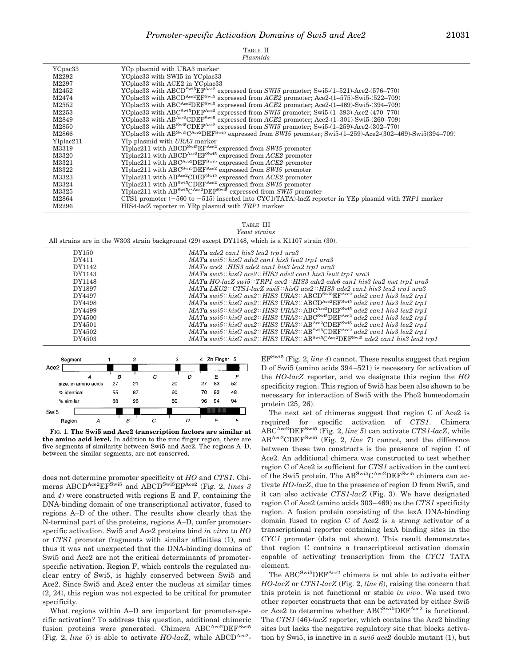| Plasmids |  |
|----------|--|
|          |  |
|          |  |

| YCpac33   | YC <sub>p</sub> plasmid with URA3 marker                                                                                                       |
|-----------|------------------------------------------------------------------------------------------------------------------------------------------------|
| M2292     | YCplac33 with SWI5 in YCplac33                                                                                                                 |
| M2297     | YCplac33 with ACE2 in YCplac33                                                                                                                 |
| M2452     | YCplac33 with ABCD <sup>Swi5</sup> EF <sup>Ace2</sup><br>expressed from $SWI5$ promoter; Swi5- $(1-521)$ -Ace2- $(576-770)$                    |
| M2474     | YCplac33 with ABCD <sup>Ace2</sup> EF <sup>Swi5</sup> expressed from <i>ACE2</i> promoter; Ace2-(1-575)-Swi5-(522-709)                         |
| M2552     | YCplac33 with ABCAce2DEFSwi5<br>expressed from $ACE2$ promoter; $Ace2-(1-469)$ -Swi5- $(394-709)$                                              |
| M2253     | YCplac33 with ABC <sup>Swi5</sup> DEF <sup>Ace2</sup> expressed from SWI5 promoter; Swi5- $(1-393)$ -Ace2- $(470-770)$                         |
| M2849     | YCplac33 with ABAce2CDEF <sup>Swi5</sup><br>expressed from $ACE2$ promoter; Ace2- $(1-301)$ -Swi5- $(260-709)$                                 |
| M2850     | YCplac33 with AB <sup>Swi5</sup> CDEF <sup>Ace2</sup> expressed from SWI5 promoter; Swi5-(1-259)-Ace2-(302-770)                                |
| M2866     | YCplac33 with AB <sup>Swi5</sup> C <sup>Ace2</sup> DEF <sup>Swi5</sup> expressed from SWI5 promoter; Swi5-(1-259)-Ace2-(302-469)-Swi5(394-709) |
| YIplac211 | YIp plasmid with URA3 marker                                                                                                                   |
| M3319     | YIplac211 with ABCD <sup>Swi5</sup> EF <sup>Ace2</sup><br>expressed from SWI5 promoter                                                         |
| M3320     | YIplac211 with ABCDAce2EFSwi5<br>expressed from ACE2 promoter                                                                                  |
| M3321     | YIplac211 with ABCAce2DEFSwi5<br>expressed from ACE2 promoter                                                                                  |
| M3322     | YIplac211 with ABC <sup>Swi5</sup> DEF <sup>Ace2</sup><br>expressed from SWI5 promoter                                                         |
| M3323     | YIplac211 with $AB^{\text{Ace2}}CDEF^{Swi5}$ expressed from $ACE2$ promoter                                                                    |
| M3324     | YIplac211 with $AB^{Swi5}$ CDEF <sup>Ace2</sup> expressed from SWI5 promoter                                                                   |
| M3325     | YIplac211 with $AB^{Swi5}C^{Ace2}DEF^{Swi5}$ expressed from SWI5 promoter                                                                      |
| M2864     | CTS1 promoter $(-560 \text{ to } -515)$ inserted into CYC1(TATA)-lacZ reporter in YEp plasmid with TRP1 marker                                 |
| M2296     | HIS4-lacZ reporter in YRp plasmid with TRP1 marker                                                                                             |

TABLE III *Yeast strains*

All strains are in the W303 strain background (29) except DY1148, which is a K1107 strain (30).

| DY150  | MAT <b>a</b> ade2 can1 his3 leu2 trp1 ura3                                                                                |
|--------|---------------------------------------------------------------------------------------------------------------------------|
| DY411  | $MATa$ swi $5$ : his $G$ ade2 can1 his3 leu2 trp1 ura3                                                                    |
| DY1142 | $MAT\alpha$ ace2:: HIS3 ade2 can1 his3 leu2 trp1 ura3                                                                     |
| DY1143 | $MATa$ swi $5$ : his $G$ ace $2$ : HIS3 ade2 can1 his3 leu2 trp1 ura3                                                     |
| DY1148 | $MATA HO$ -lacZ swi5::TRP1 ace2::HIS3 ade2 ade6 can1 his3 leu2 met trp1 ura3                                              |
| DY1897 | MATa LEU2::CTS1-lacZ swi5::hisG ace2::HIS3 ade2 can1 his3 leu2 trp1 ura3                                                  |
| DY4497 | $MATa$ swi5::hisG ace2::HIS3 URA3::ABCD <sup>Swi5</sup> EF <sup>Ace2</sup> ade2 can1 his3 leu2 trp1                       |
| DY4498 | MATa swi5::hisG ace2::HIS3 URA3::ABCD <sup>Ace2</sup> EF <sup>Swi5</sup> ade2 can1 his3 leu2 trp1                         |
| DY4499 | MATa swi5::hisG ace2::HIS3 URA3::ABC <sup>Ace2</sup> DEF <sup>Swi5</sup> ade2 can1 his3 leu2 trp1                         |
| DY4500 | MATa swi5:: hisG ace2:: HIS3 URA3:: ABC <sup>Swi5</sup> DEF <sup>Ace2</sup> ade2 can1 his3 leu2 trp1                      |
| DY4501 | $MATa$ swi5::hisG ace2::HIS3 URA3:: $AB^{Ace2}CDEF^{Swi5}$ ade2 can1 his3 leu2 trp1                                       |
| DY4502 | MATa swi5::hisG ace2::HIS3 URA3:: $AB^{Swi5}CDEF^{Ace2}$ ade2 can1 his3 leu2 trp1                                         |
| DY4503 | <b>MATa</b> swi5::hisG ace2::HIS3 URA3::AB <sup>Swi5</sup> C <sup>Ace2</sup> DEF <sup>Swi5</sup> ade2 can1 his3 leu2 trp1 |
|        |                                                                                                                           |



FIG. 1. **The Swi5 and Ace2 transcription factors are similar at the amino acid level.** In addition to the zinc finger region, there are five segments of similarity between Swi5 and Ace2. The regions A–D, between the similar segments, are not conserved.

does not determine promoter specificity at *HO* and *CTS1*. Chimeras ABCD<sup>Ace2</sup>EF<sup>Swi5</sup> and ABCD<sup>Swi5</sup>EF<sup>Ace2</sup> (Fig. 2, *lines* 3 and *4*) were constructed with regions E and F, containing the DNA-binding domain of one transcriptional activator, fused to regions A–D of the other. The results show clearly that the N-terminal part of the proteins, regions A–D, confer promoterspecific activation. Swi5 and Ace2 proteins bind *in vitro* to *HO* or *CTS1* promoter fragments with similar affinities (1), and thus it was not unexpected that the DNA-binding domains of Swi5 and Ace2 are not the critical determinants of promoterspecific activation. Region F, which controls the regulated nuclear entry of Swi5, is highly conserved between Swi5 and Ace2. Since Swi5 and Ace2 enter the nucleus at similar times (2, 24), this region was not expected to be critical for promoter specificity.

What regions within A–D are important for promoter-specific activation? To address this question, additional chimeric fusion proteins were generated. Chimera ABCAce2DEF<sup>Swi5</sup> (Fig. 2, *line 5*) is able to activate *HO-lacZ*, while ABCD<sup>Ace2</sup>-

EFSwi5 (Fig. 2, *line 4*) cannot. These results suggest that region D of Swi5 (amino acids 394–521) is necessary for activation of the *HO-lacZ* reporter, and we designate this region the *HO* specificity region. This region of Swi5 has been also shown to be necessary for interaction of Swi5 with the Pho2 homeodomain protein (25, 26).

The next set of chimeras suggest that region C of Ace2 is required for specific activation of *CTS1*. Chimera ABCAce2DEFSwi5 (Fig. 2, *line 5*) can activate *CTS1*-*lacZ*, while ABAce2CDEFSwi5 (Fig. 2, *line 7*) cannot, and the difference between these two constructs is the presence of region C of Ace2. An additional chimera was constructed to test whether region C of Ace2 is sufficient for *CTS1* activation in the context of the Swi5 protein. The ABSwi5CAce2DEFSwi5 chimera can activate *HO-lacZ*, due to the presence of region D from Swi5, and it can also activate *CTS1*-*lacZ* (Fig. 3). We have designated region C of Ace2 (amino acids 303–469) as the *CTS1* specificity region. A fusion protein consisting of the lexA DNA-binding domain fused to region C of Ace2 is a strong activator of a transcriptional reporter containing lexA binding sites in the *CYC1* promoter (data not shown). This result demonstrates that region C contains a transcriptional activation domain capable of activating transcription from the *CYC1* TATA element.

The ABC<sup>Swi5</sup>DEF<sup>Ace2</sup> chimera is not able to activate either *HO-lacZ* or *CTS1*-*lacZ* (Fig. 2, *line 6*), raising the concern that this protein is not functional or stable *in vivo*. We used two other reporter constructs that can be activated by either Swi5 or Ace2 to determine whether ABC<sup>Swi5</sup>DEF<sup>Ace2</sup> is functional. The *CTS1* (46)-*lacZ* reporter, which contains the Ace2 binding sites but lacks the negative regulatory site that blocks activation by Swi5, is inactive in a *swi5 ace2* double mutant (1), but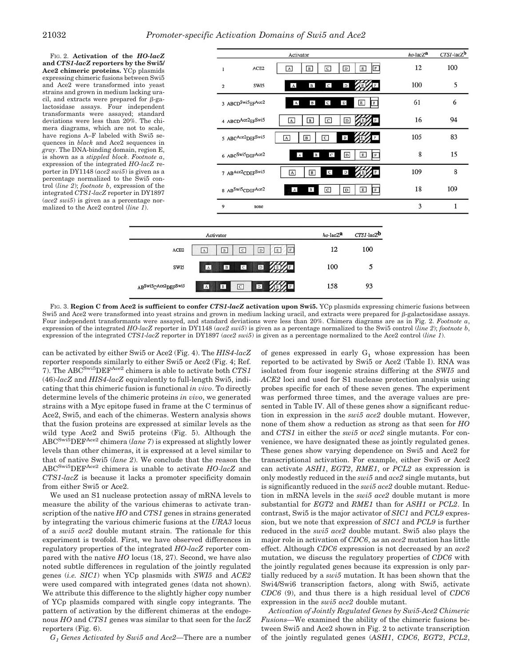FIG. 2. **Activation of the** *HO-lacZ* **and** *CTS1***-***lacZ* **reporters by the Swi5/ Ace2 chimeric proteins.** YCp plasmids expressing chimeric fusions between Swi5 and Ace2 were transformed into yeast strains and grown in medium lacking uracil, and extracts were prepared for  $\beta$ -galactosidase assays. Four independent transformants were assayed; standard deviations were less than 20%. The chimera diagrams, which are not to scale, have regions A–F labeled with Swi5 sequences in *black* and Ace2 sequences in *gray*. The DNA-binding domain, region E, is shown as a *stippled block*. *Footnote a*, expression of the integrated *HO-lacZ* reporter in DY1148 (*ace2 swi5*) is given as a percentage normalized to the Swi5 control (*line 2*); *footnote b*, expression of the integrated *CTS1*-*lacZ* reporter in DY1897 (*ace2 swi5*) is given as a percentage normalized to the Ace2 control (*line 1*).

| Activator                                                                                                               | ho-lacZa | $CTSI$ -lac $Zb$ |
|-------------------------------------------------------------------------------------------------------------------------|----------|------------------|
| $\, {\scriptstyle {\rm D}}$<br>F<br>ACE <sub>2</sub><br>$\mathbf{C}$<br>$\boxed{E}$<br>$\boxed{B}$<br>A<br>1            | 12       | 100              |
| $\, {\bf D}$<br>$\, {\bf B}$<br>$\mathbf{C}$<br>SW <sub>I5</sub><br>$\mathbf A$<br>$\sqrt{2}$                           | 100      | 5                |
| 3 ABCD <sup>Swi5</sup> EFAce2<br>$\mathsf{C}$<br>$\mathbb D$<br>$\, {\bf B} \,$<br>$\mathbf E$<br>$\mathbb F$<br>$\,$ A | 61       | 6                |
| 4 ABCDAce2EFSwi5<br>$\overline{c}$<br>$\boxed{B}$<br>$\boxed{D}$<br><b>IF</b><br>$\vert$ A<br>E                         | 16       | 94               |
| 5 ABCAce2 <sub>DEFSwi5</sub><br>$\, {\bf D}$<br>$\boxed{B}$<br>$\overline{c}$<br>F<br>A                                 | 105      | 83               |
| 6 ABC <sup>Swi5</sup> DEFAce2<br>$\, {\bf B} \,$<br>$\mathbf{C}$<br>$\boxed{D}$<br>E<br>$\,$ A<br>F                     | 8        | 15               |
| $\mathsf{C}$<br>$\mathbb D$<br>7 ABAce2CDEFSwi5<br>$\boxed{B}$<br>$\overline{A}$                                        | 109      | 8                |
| 8 ABSwi5CDEFAce2<br>$\mathbf A$<br>$\, {\bf B} \,$<br>$\overline{c}$<br>$\overline{D}$<br>E<br>F                        | 18       | 109              |
| 9<br>none                                                                                                               | 3        | 1                |



FIG. 3. **Region C from Ace2 is sufficient to confer** *CTS1***-***lacZ* **activation upon Swi5.** YCp plasmids expressing chimeric fusions between Swi5 and Ace2 were transformed into yeast strains and grown in medium lacking uracil, and extracts were prepared for β-galactosidase assays. Four independent transformants were assayed, and standard deviations were less than 20%. Chimera diagrams are as in Fig. 2. *Footnote a*, expression of the integrated *HO-lacZ* reporter in DY1148 (*ace2 swi5*) is given as a percentage normalized to the Swi5 control (*line 2*); *footnote b*, expression of the integrated *CTS1*-*lacZ* reporter in DY1897 (*ace2 swi5*) is given as a percentage normalized to the Ace2 control (*line 1*).

can be activated by either Swi5 or Ace2 (Fig. 4). The *HIS4*-*lacZ* reporter responds similarly to either Swi5 or Ace2 (Fig. 4; Ref. 7). The ABC<sup>Swi5</sup>DEF<sup>Ace2</sup> chimera is able to activate both *CTS1* (46)-*lacZ* and *HIS4*-*lacZ* equivalently to full-length Swi5, indicating that this chimeric fusion is functional *in vivo*. To directly determine levels of the chimeric proteins *in vivo*, we generated strains with a Myc epitope fused in frame at the C terminus of Ace2, Swi5, and each of the chimeras. Western analysis shows that the fusion proteins are expressed at similar levels as the wild type Ace2 and Swi5 proteins (Fig. 5). Although the ABCSwi5DEFAce2 chimera (*lane 7*) is expressed at slightly lower levels than other chimeras, it is expressed at a level similar to that of native Swi5 (*lane 2*). We conclude that the reason the ABCSwi5DEFAce2 chimera is unable to activate *HO-lacZ* and *CTS1*-*lacZ* is because it lacks a promoter specificity domain from either Swi5 or Ace2.

We used an S1 nuclease protection assay of mRNA levels to measure the ability of the various chimeras to activate transcription of the native *HO* and *CTS1* genes in strains generated by integrating the various chimeric fusions at the *URA3* locus of a *swi5 ace2* double mutant strain. The rationale for this experiment is twofold. First, we have observed differences in regulatory properties of the integrated *HO*-*lacZ* reporter compared with the native *HO* locus (18, 27). Second, we have also noted subtle differences in regulation of the jointly regulated genes (*i.e. SIC1*) when YCp plasmids with *SWI5* and *ACE2* were used compared with integrated genes (data not shown). We attribute this difference to the slightly higher copy number of YCp plasmids compared with single copy integrants. The pattern of activation by the different chimeras at the endogenous *HO* and *CTS1* genes was similar to that seen for the *lacZ* reporters (Fig. 6).

*G1 Genes Activated by Swi5 and Ace2—*There are a number

of genes expressed in early  $G_1$  whose expression has been reported to be activated by Swi5 or Ace2 (Table I). RNA was isolated from four isogenic strains differing at the *SWI5* and *ACE2* loci and used for S1 nuclease protection analysis using probes specific for each of these seven genes. The experiment was performed three times, and the average values are presented in Table IV. All of these genes show a significant reduction in expression in the *swi5 ace2* double mutant. However, none of them show a reduction as strong as that seen for *HO* and *CTS1* in either the *swi5* or *ace2* single mutants. For convenience, we have designated these as jointly regulated genes. These genes show varying dependence on Swi5 and Ace2 for transcriptional activation. For example, either Swi5 or Ace2 can activate *ASH1*, *EGT2*, *RME1*, or *PCL2* as expression is only modestly reduced in the *swi5* and *ace2* single mutants, but is significantly reduced in the *swi5 ace2* double mutant. Reduction in mRNA levels in the *swi5 ace2* double mutant is more substantial for *EGT2* and *RME1* than for *ASH1* or *PCL2*. In contrast, Swi5 is the major activator of *SIC1* and *PCL9* expression, but we note that expression of *SIC1* and *PCL9* is further reduced in the *swi5 ace2* double mutant. Swi5 also plays the major role in activation of *CDC6*, as an *ace2* mutation has little effect. Although *CDC6* expression is not decreased by an *ace2* mutation, we discuss the regulatory properties of *CDC6* with the jointly regulated genes because its expression is only partially reduced by a *swi5* mutation. It has been shown that the Swi4/Swi6 transcription factors, along with Swi5, activate *CDC6* (9), and thus there is a high residual level of *CDC6* expression in the *swi5 ace2* double mutant.

*Activation of Jointly Regulated Genes by Swi5-Ace2 Chimeric Fusions—*We examined the ability of the chimeric fusions between Swi5 and Ace2 shown in Fig. 2 to activate transcription of the jointly regulated genes (*ASH1*, *CDC6*, *EGT2*, *PCL2*,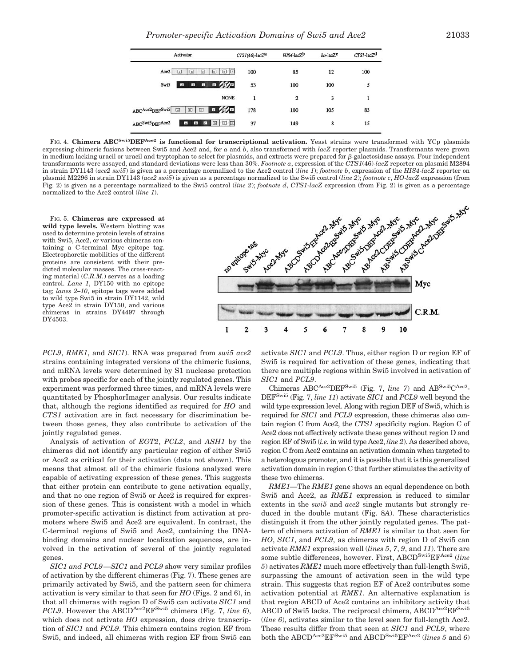*Promoter-specific Activation Domains of Swi5 and Ace2* 21033

| Activator                                                            | $CTS1(46)$ -lac $Z^a$ | $HIS4$ -lac $Zb$ | $ho$ -lac $Zc$ | $CTSI$ -lac $Zd$ |
|----------------------------------------------------------------------|-----------------------|------------------|----------------|------------------|
| 回回<br>Ace2<br>回<br>$\square$<br>回<br>W                               | 100                   | 85               | 12             | 100              |
| <b>BBB</b><br>Swi5<br>$\blacksquare$                                 | 53                    | 100              | 100            | 5                |
| <b>NONE</b>                                                          |                       | $\overline{2}$   | 3              |                  |
| $\Box$<br>ABCAce2 <sub>DEFSwi5</sub><br>$\boxed{B}$<br> c <br>$\Box$ | 178                   | 100              | 105            | 83               |
| 回回回<br>ABCSwi5DEFAce2<br>$B - B$<br><b>A</b>                         | 37                    | 149              | 8              | 15               |

FIG. 4. **Chimera ABCSwi5DEFAce2 is functional for transcriptional activation.** Yeast strains were transformed with YCp plasmids expressing chimeric fusions between Swi5 and Ace2 and, for *a* and *b*, also transformed with *lacZ* reporter plasmids. Transformants were grown in medium lacking uracil or uracil and tryptophan to select for plasmids, and extracts were prepared for  $\beta$ -galactosidase assays. Four independent in strain DY1143 (*ace2 swi5*) is given as a percentage normalized to the Ace2 control (*line 1*); *footnote b*, expression of the *HIS4*-*lacZ* reporter on plasmid M2296 in strain DY1143 (*ace2 swi5*) is given as a percentage normalized to the Swi5 control (*line 2*); *footnote c*, *HO*-*lacZ* expression (from Fig. 2) is given as a percentage normalized to the Swi5 control (*line 2*); *footnote d*, *CTS1*-*lacZ* expression (from Fig. 2) is given as a percentage normalized to the Ace2 control (*line 1*).

FIG. 5. **Chimeras are expressed at wild type levels.** Western blotting was used to determine protein levels of strains with Swi5, Ace2, or various chimeras containing a C-terminal Myc epitope tag. Electrophoretic mobilities of the different proteins are consistent with their predicted molecular masses. The cross-reacting material (*C.R.M.*) serves as a loading control. *Lane 1*, DY150 with no epitope tag; *lanes 2–10*, epitope tags were added to wild type Swi5 in strain DY1142, wild type Ace2 in strain DY150, and various chimeras in strains DY4497 through DY4503.



*PCL9*, *RME1*, and *SIC1*). RNA was prepared from *swi5 ace2* strains containing integrated versions of the chimeric fusions, and mRNA levels were determined by S1 nuclease protection with probes specific for each of the jointly regulated genes. This experiment was performed three times, and mRNA levels were quantitated by PhosphorImager analysis. Our results indicate that, although the regions identified as required for *HO* and *CTS1* activation are in fact necessary for discrimination between those genes, they also contribute to activation of the jointly regulated genes.

Analysis of activation of *EGT2*, *PCL2*, and *ASH1* by the chimeras did not identify any particular region of either Swi5 or Ace2 as critical for their activation (data not shown). This means that almost all of the chimeric fusions analyzed were capable of activating expression of these genes. This suggests that either protein can contribute to gene activation equally, and that no one region of Swi5 or Ace2 is required for expression of these genes. This is consistent with a model in which promoter-specific activation is distinct from activation at promoters where Swi5 and Ace2 are equivalent. In contrast, the C-terminal regions of Swi5 and Ace2, containing the DNAbinding domains and nuclear localization sequences, are involved in the activation of several of the jointly regulated genes.

*SIC1 and PCL9—SIC1* and *PCL9* show very similar profiles of activation by the different chimeras (Fig. 7). These genes are primarily activated by Swi5, and the pattern seen for chimera activation is very similar to that seen for *HO* (Figs. 2 and 6), in that all chimeras with region D of Swi5 can activate *SIC1* and *PCL9*. However the ABCD<sup>Ace2</sup>EF<sup>Swi5</sup> chimera (Fig. 7, *line 6*), which does not activate *HO* expression, does drive transcription of *SIC1* and *PCL9*. This chimera contains region EF from Swi5, and indeed, all chimeras with region EF from Swi5 can activate *SIC1* and *PCL9*. Thus, either region D or region EF of Swi5 is required for activation of these genes, indicating that there are multiple regions within Swi5 involved in activation of *SIC1* and *PCL9*.

Chimeras ABC<sup>Ace2</sup>DEF<sup>Swi5</sup> (Fig. 7, *line 7*) and AB<sup>Swi5</sup>C<sup>Ace2</sup>-DEFSwi5 (Fig. 7, *line 11*) activate *SIC1* and *PCL9* well beyond the wild type expression level. Along with region DEF of Swi5, which is required for *SIC1* and *PCL9* expression, these chimeras also contain region C from Ace2, the *CTS1* specificity region. Region C of Ace2 does not effectively activate these genes without region D and region EF of Swi5 (*i.e.* in wild type Ace2, *line 2*). As described above, region C from Ace2 contains an activation domain when targeted to a heterologous promoter, and it is possible that it is this generalized activation domain in region C that further stimulates the activity of these two chimeras.

*RME1—*The *RME1* gene shows an equal dependence on both Swi5 and Ace2, as *RME1* expression is reduced to similar extents in the *swi5* and *ace2* single mutants but strongly reduced in the double mutant (Fig. 8*A*). These characteristics distinguish it from the other jointly regulated genes. The pattern of chimera activation of *RME1* is similar to that seen for *HO*, *SIC1*, and *PCL9*, as chimeras with region D of Swi5 can activate *RME1* expression well (*lines 5*, *7*, *9*, and *11*). There are some subtle differences, however. First, ABCDSwi5EFAce2 (*line 5*) activates *RME1* much more effectively than full-length Swi5, surpassing the amount of activation seen in the wild type strain. This suggests that region EF of Ace2 contributes some activation potential at *RME1*. An alternative explanation is that region ABCD of Ace2 contains an inhibitory activity that ABCD of Swi5 lacks. The reciprocal chimera, ABCDAce<sup>2</sup>EF<sup>Swi5</sup> (*line 6*), activates similar to the level seen for full-length Ace2. These results differ from that seen at *SIC1* and *PCL9*, where both the ABCD<sup>Ace2</sup>EF<sup>Swi5</sup> and ABCD<sup>Swi5</sup>EF<sup>Ace2</sup> (*lines* 5 and 6)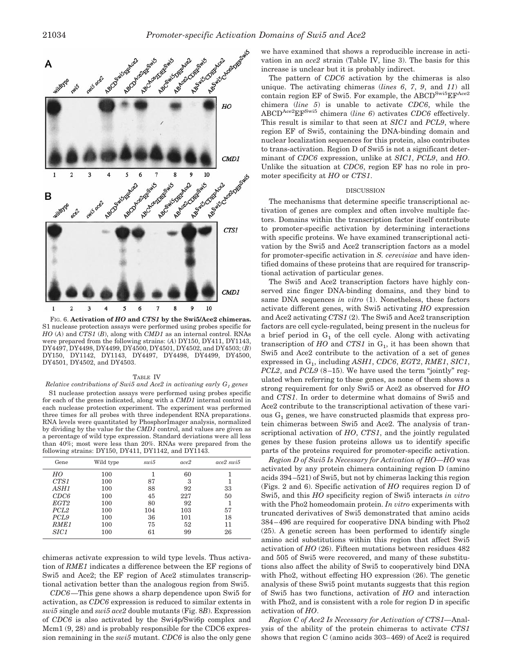

FIG. 6. **Activation of** *HO* **and** *CTS1* **by the Swi5/Ace2 chimeras.** S1 nuclease protection assays were performed using probes specific for *HO* (*A*) and *CTS1* (*B*), along with *CMD1* as an internal control. RNAs were prepared from the following strains: (*A*) DY150, DY411, DY1143, DY4497, DY4498, DY4499, DY4500, DY4501, DY4502, and DY4503; (*B*) DY150, DY1142, DY1143, DY4497, DY4498, DY4499, DY4500, DY4501, DY4502, and DY4503.

#### TABLE IV

*Relative contributions of Swi5 and Ace2 in activating early G<sub>1</sub> genes* S1 nuclease protection assays were performed using probes specific for each of the genes indicated, along with a *CMD1* internal control in each nuclease protection experiment. The experiment was performed three times for all probes with three independent RNA preparations. RNA levels were quantitated by PhosphorImager analysis, normalized by dividing by the value for the *CMD1* control, and values are given as a percentage of wild type expression. Standard deviations were all less than 40%; most were less than 20%. RNAs were prepared from the following strains: DY150, DY411, DY1142, and DY1143.

| Gene             | Wild type | swi5 | ace2 | $ace2 \text{ sui}5$ |
|------------------|-----------|------|------|---------------------|
| HO               | 100       |      | 60   |                     |
| CTS <sub>1</sub> | 100       | 87   | 3    |                     |
| ASH1             | 100       | 88   | 92   | 33                  |
| CDC6             | 100       | 45   | 227  | 50                  |
| EGT <sub>2</sub> | 100       | 80   | 92   |                     |
| PCL <sub>2</sub> | 100       | 104  | 103  | 57                  |
| PCL <sub>9</sub> | 100       | 36   | 101  | 18                  |
| RME1             | 100       | 75   | 52   | 11                  |
| <i>SIC1</i>      | 100       | 61   | 99   | 26                  |

chimeras activate expression to wild type levels. Thus activation of *RME1* indicates a difference between the EF regions of Swi5 and Ace2; the EF region of Ace2 stimulates transcriptional activation better than the analogous region from Swi5.

*CDC6—*This gene shows a sharp dependence upon Swi5 for activation, as *CDC6* expression is reduced to similar extents in *swi5* single and *swi5 ace2* double mutants (Fig. 8*B*). Expression of *CDC6* is also activated by the Swi4p/Swi6p complex and Mcm1  $(9, 28)$  and is probably responsible for the CDC6 expression remaining in the *swi5* mutant. *CDC6* is also the only gene we have examined that shows a reproducible increase in activation in an *ace2* strain (Table IV, line 3). The basis for this increase is unclear but it is probably indirect.

The pattern of *CDC6* activation by the chimeras is also unique. The activating chimeras (*lines 6*, *7*, *9*, and *11*) all contain region EF of Swi5. For example, the ABCD<sup>Swi5</sup>EF<sup>Ace2</sup> chimera (*line 5*) is unable to activate *CDC6*, while the ABCDAce2EFSwi5 chimera (*line 6*) activates *CDC6* effectively. This result is similar to that seen at *SIC1* and *PCL9*, where region EF of Swi5, containing the DNA-binding domain and nuclear localization sequences for this protein, also contributes to trans-activation. Region D of Swi5 is not a significant determinant of *CDC6* expression, unlike at *SIC1*, *PCL9*, and *HO*. Unlike the situation at *CDC6*, region EF has no role in promoter specificity at *HO* or *CTS1*.

### DISCUSSION

The mechanisms that determine specific transcriptional activation of genes are complex and often involve multiple factors. Domains within the transcription factor itself contribute to promoter-specific activation by determining interactions with specific proteins. We have examined transcriptional activation by the Swi5 and Ace2 transcription factors as a model for promoter-specific activation in *S. cerevisiae* and have identified domains of these proteins that are required for transcriptional activation of particular genes.

The Swi5 and Ace2 transcription factors have highly conserved zinc finger DNA-binding domains, and they bind to same DNA sequences *in vitro* (1). Nonetheless, these factors activate different genes, with Swi5 activating *HO* expression and Ace2 activating *CTS1* (2). The Swi5 and Ace2 transcription factors are cell cycle-regulated, being present in the nucleus for a brief period in  $G_1$  of the cell cycle. Along with activating transcription of  $HO$  and  $CTS1$  in  $G<sub>1</sub>$ , it has been shown that Swi5 and Ace2 contribute to the activation of a set of genes expressed in G1, including *ASH1*, *CDC6*, *EGT2*, *RME1*, *SIC1*, *PCL2*, and *PCL9* (8–15). We have used the term "jointly" regulated when referring to these genes, as none of them shows a strong requirement for only Swi5 or Ace2 as observed for *HO* and *CTS1*. In order to determine what domains of Swi5 and Ace2 contribute to the transcriptional activation of these various  $G_1$  genes, we have constructed plasmids that express protein chimeras between Swi5 and Ace2. The analysis of transcriptional activation of *HO*, *CTS1*, and the jointly regulated genes by these fusion proteins allows us to identify specific parts of the proteins required for promoter-specific activation.

*Region D of Swi5 Is Necessary for Activation of HO—HO* was activated by any protein chimera containing region D (amino acids 394–521) of Swi5, but not by chimeras lacking this region (Figs. 2 and 6). Specific activation of *HO* requires region D of Swi5, and this *HO* specificity region of Swi5 interacts *in vitro* with the Pho2 homeodomain protein. *In vitro* experiments with truncated derivatives of Swi5 demonstrated that amino acids 384–496 are required for cooperative DNA binding with Pho2 (25). A genetic screen has been performed to identify single amino acid substitutions within this region that affect Swi5 activation of *HO* (26). Fifteen mutations between residues 482 and 505 of Swi5 were recovered, and many of these substitutions also affect the ability of Swi5 to cooperatively bind DNA with Pho2, without effecting HO expression (26). The genetic analysis of these Swi5 point mutants suggests that this region of Swi5 has two functions, activation of *HO* and interaction with Pho2, and is consistent with a role for region D in specific activation of *HO*.

*Region C of Ace2 Is Necessary for Activation of CTS1—*Analysis of the ability of the protein chimeras to activate *CTS1* shows that region C (amino acids 303–469) of Ace2 is required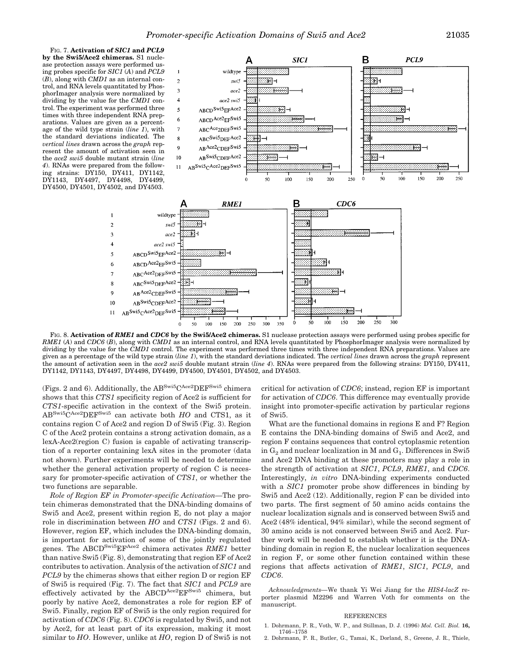FIG. 7. **Activation of** *SIC1* **and** *PCL9* **by the Swi5/Ace2 chimeras.** S1 nuclease protection assays were performed using probes specific for *SIC1* (*A*) and *PCL9* (*B*), along with *CMD1* as an internal control, and RNA levels quantitated by PhosphorImager analysis were normalized by dividing by the value for the *CMD1* control. The experiment was performed three times with three independent RNA preparations. Values are given as a percentage of the wild type strain (*line 1*), with the standard deviations indicated. The *vertical lines* drawn across the *graph* represent the amount of activation seen in the *ace2 swi5* double mutant strain (*line 4*). RNAs were prepared from the following strains: DY150, DY411, DY1142, DY1143, DY4497, DY4498, DY4499, DY4500, DY4501, DY4502, and DY4503.

 $\mathcal{L}$ 

3

5

6

 $\overline{7}$ 

 $\mathbf Q$ 

10

 $11$ 



FIG. 8. **Activation of** *RME1* **and** *CDC6* **by the Swi5/Ace2 chimeras.** S1 nuclease protection assays were performed using probes specific for *RME1* (*A*) and *CDC6* (*B*), along with *CMD1* as an internal control, and RNA levels quantitated by PhosphorImager analysis were normalized by dividing by the value for the *CMD1* control. The experiment was performed three times with three independent RNA preparations. Values are given as a percentage of the wild type strain (*line 1*), with the standard deviations indicated. The *vertical lines* drawn across the *graph* represent the amount of activation seen in the *ace2 swi5* double mutant strain (*line 4*). RNAs were prepared from the following strains: DY150, DY411, DY1142, DY1143, DY4497, DY4498, DY4499, DY4500, DY4501, DY4502, and DY4503.

(Figs. 2 and 6). Additionally, the  $\rm AB^{Swi5}C^{Ace2}DEF^{Swi5}$  chimera shows that this *CTS1* specificity region of Ace2 is sufficient for *CTS1*-specific activation in the context of the Swi5 protein. ABSwi5CAce2DEFSwi5 can activate both *HO* and CTS1, as it contains region C of Ace2 and region D of Swi5 (Fig. 3). Region C of the Ace2 protein contains a strong activation domain, as a lexA-Ace2(region C) fusion is capable of activating transcription of a reporter containing lexA sites in the promoter (data not shown). Further experiments will be needed to determine whether the general activation property of region C is necessary for promoter-specific activation of *CTS1*, or whether the two functions are separable.

*Role of Region EF in Promoter-specific Activation—*The protein chimeras demonstrated that the DNA-binding domains of Swi5 and Ace2, present within region E, do not play a major role in discrimination between *HO* and *CTS1* (Figs. 2 and 6). However, region EF, which includes the DNA-binding domain, is important for activation of some of the jointly regulated genes. The ABCDSwi5EFAce2 chimera activates *RME1* better than native Swi5 (Fig. 8), demonstrating that region EF of Ace2 contributes to activation. Analysis of the activation of *SIC1* and *PCL9* by the chimeras shows that either region D or region EF of Swi5 is required (Fig. 7). The fact that *SIC1* and *PCL9* are effectively activated by the  $ABCD^{Ace2}EF^{Swi5}$  chimera, but poorly by native Ace2, demonstrates a role for region EF of Swi5. Finally, region EF of Swi5 is the only region required for activation of *CDC6* (Fig. 8). *CDC6* is regulated by Swi5, and not by Ace2, for at least part of its expression, making it most similar to *HO*. However, unlike at *HO*, region D of Swi5 is not critical for activation of *CDC6*; instead, region EF is important for activation of *CDC6*. This difference may eventually provide insight into promoter-specific activation by particular regions of Swi5.

What are the functional domains in regions E and F? Region E contains the DNA-binding domains of Swi5 and Ace2, and region F contains sequences that control cytoplasmic retention in  $G_2$  and nuclear localization in M and  $G_1$ . Differences in Swi5 and Ace2 DNA binding at these promoters may play a role in the strength of activation at *SIC1*, *PCL9*, *RME1*, and *CDC6*. Interestingly, *in vitro* DNA-binding experiments conducted with a *SIC1* promoter probe show differences in binding by Swi5 and Ace2 (12). Additionally, region F can be divided into two parts. The first segment of 50 amino acids contains the nuclear localization signals and is conserved between Swi5 and Ace2 (48% identical, 94% similar), while the second segment of 30 amino acids is not conserved between Swi5 and Ace2. Further work will be needed to establish whether it is the DNAbinding domain in region E, the nuclear localization sequences in region F, or some other function contained within these regions that affects activation of *RME1*, *SIC1*, *PCL9*, and *CDC6*.

*Acknowledgments—*We thank Yi Wei Jiang for the *HIS4*-*lacZ* reporter plasmid M2296 and Warren Voth for comments on the manuscript.

#### REFERENCES

- 1. Dohrmann, P. R., Voth, W. P., and Stillman, D. J. (1996) *Mol. Cell. Biol.* **16,** 1746–1758
- 2. Dohrmann, P. R., Butler, G., Tamai, K., Dorland, S., Greene, J. R., Thiele,